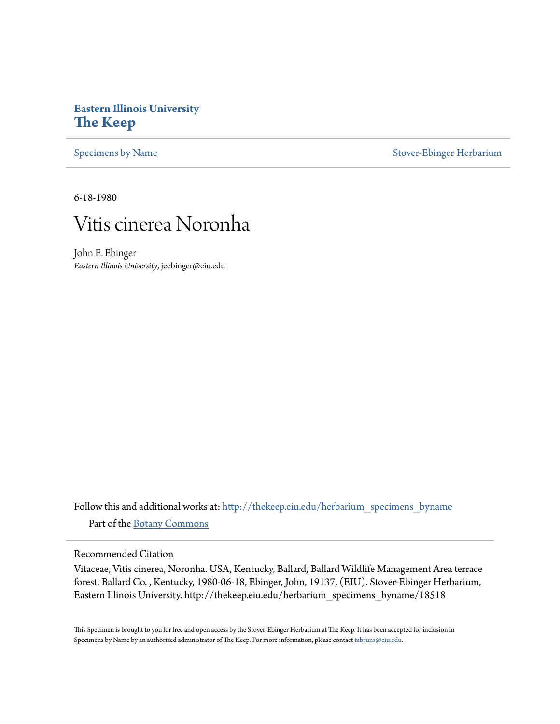## **Eastern Illinois University [The Keep](http://thekeep.eiu.edu?utm_source=thekeep.eiu.edu%2Fherbarium_specimens_byname%2F18518&utm_medium=PDF&utm_campaign=PDFCoverPages)**

[Specimens by Name](http://thekeep.eiu.edu/herbarium_specimens_byname?utm_source=thekeep.eiu.edu%2Fherbarium_specimens_byname%2F18518&utm_medium=PDF&utm_campaign=PDFCoverPages) [Stover-Ebinger Herbarium](http://thekeep.eiu.edu/herbarium?utm_source=thekeep.eiu.edu%2Fherbarium_specimens_byname%2F18518&utm_medium=PDF&utm_campaign=PDFCoverPages)

6-18-1980



John E. Ebinger *Eastern Illinois University*, jeebinger@eiu.edu

Follow this and additional works at: [http://thekeep.eiu.edu/herbarium\\_specimens\\_byname](http://thekeep.eiu.edu/herbarium_specimens_byname?utm_source=thekeep.eiu.edu%2Fherbarium_specimens_byname%2F18518&utm_medium=PDF&utm_campaign=PDFCoverPages) Part of the [Botany Commons](http://network.bepress.com/hgg/discipline/104?utm_source=thekeep.eiu.edu%2Fherbarium_specimens_byname%2F18518&utm_medium=PDF&utm_campaign=PDFCoverPages)

Recommended Citation

Vitaceae, Vitis cinerea, Noronha. USA, Kentucky, Ballard, Ballard Wildlife Management Area terrace forest. Ballard Co. , Kentucky, 1980-06-18, Ebinger, John, 19137, (EIU). Stover-Ebinger Herbarium, Eastern Illinois University. http://thekeep.eiu.edu/herbarium\_specimens\_byname/18518

This Specimen is brought to you for free and open access by the Stover-Ebinger Herbarium at The Keep. It has been accepted for inclusion in Specimens by Name by an authorized administrator of The Keep. For more information, please contact [tabruns@eiu.edu](mailto:tabruns@eiu.edu).